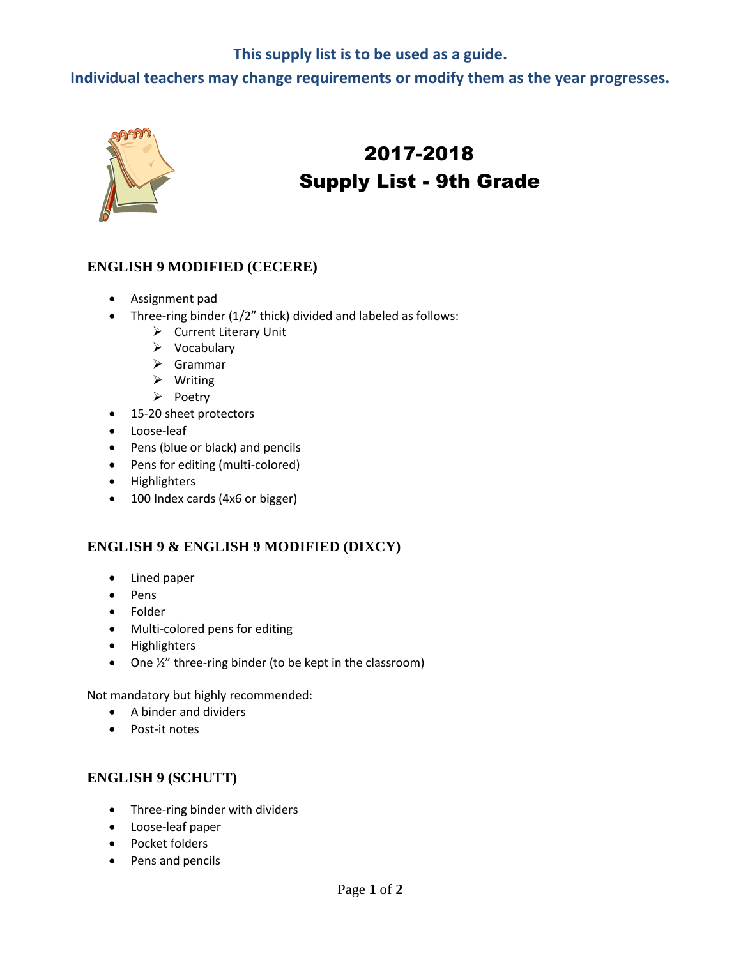# **This supply list is to be used as a guide.**

**Individual teachers may change requirements or modify them as the year progresses.**



# 2017-2018 Supply List - 9th Grade

#### **ENGLISH 9 MODIFIED (CECERE)**

- Assignment pad
- Three-ring binder (1/2" thick) divided and labeled as follows:
	- $\triangleright$  Current Literary Unit
	- $\triangleright$  Vocabulary
	- $\triangleright$  Grammar
	- $\triangleright$  Writing
	- $\triangleright$  Poetry
- 15-20 sheet protectors
- Loose-leaf
- Pens (blue or black) and pencils
- Pens for editing (multi-colored)
- Highlighters
- 100 Index cards (4x6 or bigger)

## **ENGLISH 9 & ENGLISH 9 MODIFIED (DIXCY)**

- Lined paper
- Pens
- Folder
- Multi-colored pens for editing
- Highlighters
- One ½" three-ring binder (to be kept in the classroom)

Not mandatory but highly recommended:

- A binder and dividers
- Post-it notes

## **ENGLISH 9 (SCHUTT)**

- Three-ring binder with dividers
- Loose-leaf paper
- Pocket folders
- Pens and pencils